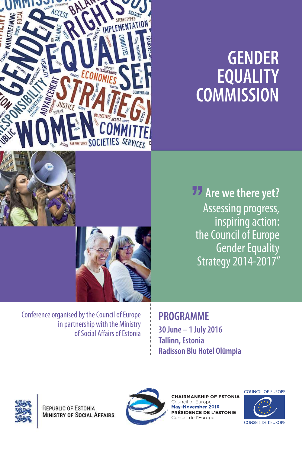

# **GENDER EQUALITY COMMISSION**

**Are we there yet?** Assessing progress, inspiring action: the Council of Europe Gender Equality Strategy 2014-2017"

Conference organised by the Council of Europe in partnership with the Ministry of Social Affairs of Estonia

**PROGRAMME 30 June – 1 July 2016 Tallinn, Estonia Radisson Blu Hotel Olümpia** 



REPUBLIC OF ESTONIA **MINISTRY OF SOCIAL AFFAIRS** 



**CHAIRMANSHIP OF ESTONIA** Council of Europe May-November 2016 PRÉSIDENCE DE L'ESTONIE Conseil de l'Europe

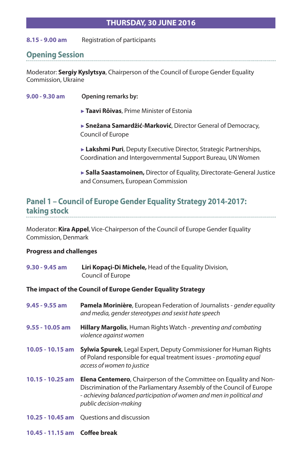#### **THURSDAY, 30 JUNE 2016**

**8.15 - 9.00 am** Registration of participants

# **Opening Session**

Moderator: **Sergiy Kyslytsya**, Chairperson of the Council of Europe Gender Equality Commission, Ukraine

**9.00 - 9.30 am Opening remarks by:**

►**Taavi Rõivas**, Prime Minister of Estonia

►**Snežana Samardžić-Marković**, Director General of Democracy, Council of Europe

►**Lakshmi Puri**, Deputy Executive Director, Strategic Partnerships, Coordination and Intergovernmental Support Bureau, UN Women

►**Salla Saastamoinen,** Director of Equality, Directorate-General Justice and Consumers, European Commission

#### **Panel 1 – Council of Europe Gender Equality Strategy 2014-2017: taking stock**

Moderator: **Kira Appel**, Vice-Chairperson of the Council of Europe Gender Equality Commission, Denmark

#### **Progress and challenges**

| 9.30 - 9.45 am                                               | Liri Kopaçi-Di Michele, Head of the Equality Division,<br>Council of Europe                                                                                                                                                                          |  |
|--------------------------------------------------------------|------------------------------------------------------------------------------------------------------------------------------------------------------------------------------------------------------------------------------------------------------|--|
| The impact of the Council of Europe Gender Equality Strategy |                                                                                                                                                                                                                                                      |  |
| 9.45 - 9.55 am                                               | Pamela Morinière, European Federation of Journalists - gender equality<br>and media, gender stereotypes and sexist hate speech                                                                                                                       |  |
| $9.55 - 10.05$ am                                            | <b>Hillary Margolis</b> , Human Rights Watch - preventing and combating<br>violence against women                                                                                                                                                    |  |
| 10.05 - 10.15 am                                             | <b>Sylwia Spurek, Legal Expert, Deputy Commissioner for Human Rights</b><br>of Poland responsible for equal treatment issues - promoting equal<br>access of women to justice                                                                         |  |
| 10.15 - 10.25 am                                             | <b>Elena Centemero, Chairperson of the Committee on Equality and Non-</b><br>Discrimination of the Parliamentary Assembly of the Council of Europe<br>- achieving balanced participation of women and men in political and<br>public decision-making |  |
|                                                              | 10.25 - 10.45 am Questions and discussion                                                                                                                                                                                                            |  |

#### **10.45 - 11.15 am Coffee break**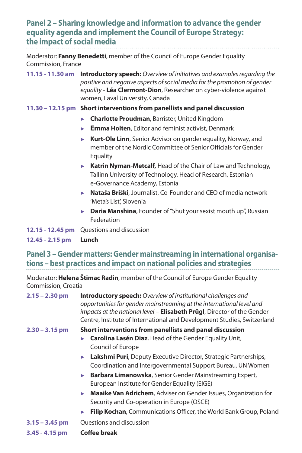# **Panel 2 – Sharing knowledge and information to advance the gender equality agenda and implement the Council of Europe Strategy: the impact of social media**

Moderator: **Fanny Benedetti**, member of the Council of Europe Gender Equality Commission, France

**11.15 - 11.30 am Introductory speech:** *Overview of initiatives and examples regarding the positive and negative aspects of social media for the promotion of gender equality* - **Léa Clermont-Dion**, Researcher on cyber-violence against women, Laval University, Canada

#### **11.30 – 12.15 pm Short interventions from panellists and panel discussion**

- ► **Charlotte Proudman**, Barrister, United Kingdom
- ► **Emma Holten**, Editor and feminist activist, Denmark
- ► **Kurt-Ole Linn**, Senior Advisor on gender equality, Norway, and member of the Nordic Committee of Senior Officials for Gender **Equality**
- ► **Katrin Nyman-Metcalf,** Head of the Chair of Law and Technology, Tallinn University of Technology, Head of Research, Estonian e-Governance Academy, Estonia
- ► **Nataša Briški**, Journalist, Co-Founder and CEO of media network 'Meta's List', Slovenia
- ► **Daria Manshina**, Founder of "Shut your sexist mouth up", Russian **Federation**

**12.15 - 12.45 pm** Questions and discussion

**12.45 - 2.15 pm Lunch**

**Panel 3 – Gender matters: Gender mainstreaming in international organisations – best practices and impact on national policies and strategies**

Moderator: **Helena Štimac Radin**, member of the Council of Europe Gender Equality Commission, Croatia

| $2.15 - 2.30$ pm | <b>Introductory speech:</b> Overview of institutional challenges and<br>opportunities for gender mainstreaming at the international level and<br>impacts at the national level - Elisabeth Prügl, Director of the Gender<br>Centre, Institute of International and Development Studies, Switzerland |
|------------------|-----------------------------------------------------------------------------------------------------------------------------------------------------------------------------------------------------------------------------------------------------------------------------------------------------|
| 2.30 – 3.15 pm   | Short interventions from panellists and panel discussion                                                                                                                                                                                                                                            |
|                  | Carolina Lasén Diaz, Head of the Gender Equality Unit,<br>ы<br>Council of Europe                                                                                                                                                                                                                    |
|                  | Lakshmi Puri, Deputy Executive Director, Strategic Partnerships,<br>$\blacktriangleright$<br>Coordination and Intergovernmental Support Bureau, UN Women                                                                                                                                            |
|                  | Barbara Limanowska, Senior Gender Mainstreaming Expert,<br>ь<br>European Institute for Gender Equality (EIGE)                                                                                                                                                                                       |
|                  | Maaike Van Adrichem, Adviser on Gender Issues, Organization for<br>ь<br>Security and Co-operation in Europe (OSCE)                                                                                                                                                                                  |
|                  | Filip Kochan, Communications Officer, the World Bank Group, Poland<br>▶                                                                                                                                                                                                                             |
| $3.15 - 3.45$ pm | Questions and discussion                                                                                                                                                                                                                                                                            |

**3.45 - 4.15 pm Coffee break**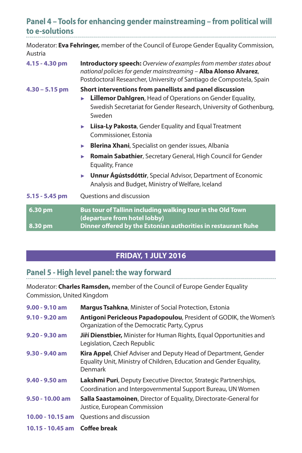| Panel 4 - Tools for enhancing gender mainstreaming - from political will |  |
|--------------------------------------------------------------------------|--|
| to e-solutions                                                           |  |

Moderator: **Eva Fehringer,** member of the Council of Europe Gender Equality Commission,

| Austria            |                                                                                                                                                                                                                        |  |
|--------------------|------------------------------------------------------------------------------------------------------------------------------------------------------------------------------------------------------------------------|--|
| 4.15 - 4.30 pm     | <b>Introductory speech:</b> Overview of examples from member states about<br>national policies for gender mainstreaming - Alba Alonso Alvarez,<br>Postdoctoral Researcher, University of Santiago de Compostela, Spain |  |
| $4.30 - 5.15$ pm   | Short interventions from panellists and panel discussion<br>Lillemor Dahlgren, Head of Operations on Gender Equality,<br>Swedish Secretariat for Gender Research, University of Gothenburg,<br>Sweden                  |  |
|                    | <b>Liisa-Ly Pakosta, Gender Equality and Equal Treatment</b><br>Þ.<br>Commissioner, Estonia                                                                                                                            |  |
|                    | <b>Blerina Xhani</b> , Specialist on gender issues, Albania<br>ь                                                                                                                                                       |  |
|                    | Romain Sabathier, Secretary General, High Council for Gender<br>ь<br>Equality, France                                                                                                                                  |  |
|                    | Unnur Agústsdóttir, Special Advisor, Department of Economic<br>ь<br>Analysis and Budget, Ministry of Welfare, Iceland                                                                                                  |  |
| 5.15 - 5.45 pm     | Questions and discussion                                                                                                                                                                                               |  |
| 6.30 pm<br>8.30 pm | Bus tour of Tallinn including walking tour in the Old Town<br>(departure from hotel lobby)<br>Dinner offered by the Estonian authorities in restaurant Ruhe                                                            |  |
|                    |                                                                                                                                                                                                                        |  |

# **FRIDAY, 1 JULY 2016**

.......................

# **Panel 5 - High level panel: the way forward**

Moderator: **Charles Ramsden,** member of the Council of Europe Gender Equality Commission, United Kingdom

| $9.00 - 9.10$ am              | <b>Margus Tsahkna, Minister of Social Protection, Estonia</b>                                                                                     |
|-------------------------------|---------------------------------------------------------------------------------------------------------------------------------------------------|
| $9.10 - 9.20$ am              | <b>Antigoni Pericleous Papadopoulou, President of GODIK, the Women's</b><br>Organization of the Democratic Party, Cyprus                          |
| $9.20 - 9.30$ am              | <b>Jiří Dienstbier,</b> Minister for Human Rights, Equal Opportunities and<br>Legislation, Czech Republic                                         |
| $9.30 - 9.40$ am              | Kira Appel, Chief Adviser and Deputy Head of Department, Gender<br>Equality Unit, Ministry of Children, Education and Gender Equality,<br>Denmark |
| $9.40 - 9.50$ am              | <b>Lakshmi Puri</b> , Deputy Executive Director, Strategic Partnerships,<br>Coordination and Intergovernmental Support Bureau, UN Women           |
| $9.50 - 10.00$ am             | <b>Salla Saastamoinen</b> , Director of Equality, Directorate-General for<br>Justice, European Commission                                         |
| $10.00 - 10.15$ am            | <b>Ouestions and discussion</b>                                                                                                                   |
| 10.15 - 10.45 am Coffee break |                                                                                                                                                   |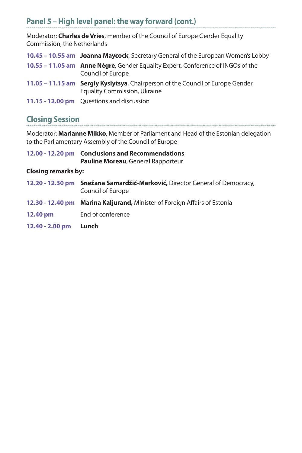# **Panel 5 – High level panel: the way forward (cont.)**

Moderator: **Charles de Vries**, member of the Council of Europe Gender Equality Commission, the Netherlands

| 10.45 - 10.55 am Joanna Maycock, Secretary General of the European Women's Lobby                                      |
|-----------------------------------------------------------------------------------------------------------------------|
| 10.55 – 11.05 am Anne Nègre, Gender Equality Expert, Conference of INGOs of the<br>Council of Europe                  |
| 11.05 – 11.15 am Sergiy Kyslytsya, Chairperson of the Council of Europe Gender<br><b>Equality Commission, Ukraine</b> |
| 11.15 - 12.00 pm Questions and discussion                                                                             |

## **Closing Session**

Moderator: **Marianne Mikko**, Member of Parliament and Head of the Estonian delegation to the Parliamentary Assembly of the Council of Europe

| 12.00 - 12.20 pm Conclusions and Recommendations |
|--------------------------------------------------|
| Pauline Moreau, General Rapporteur               |

#### **Closing remarks by:**

|                 | 12.20 - 12.30 pm Snežana Samardžić-Marković, Director General of Democracy,<br>Council of Europe |
|-----------------|--------------------------------------------------------------------------------------------------|
|                 | 12.30 - 12.40 pm Marina Kaljurand, Minister of Foreign Affairs of Estonia                        |
| 12.40 pm        | End of conference                                                                                |
| 12.40 - 2.00 pm | Lunch                                                                                            |